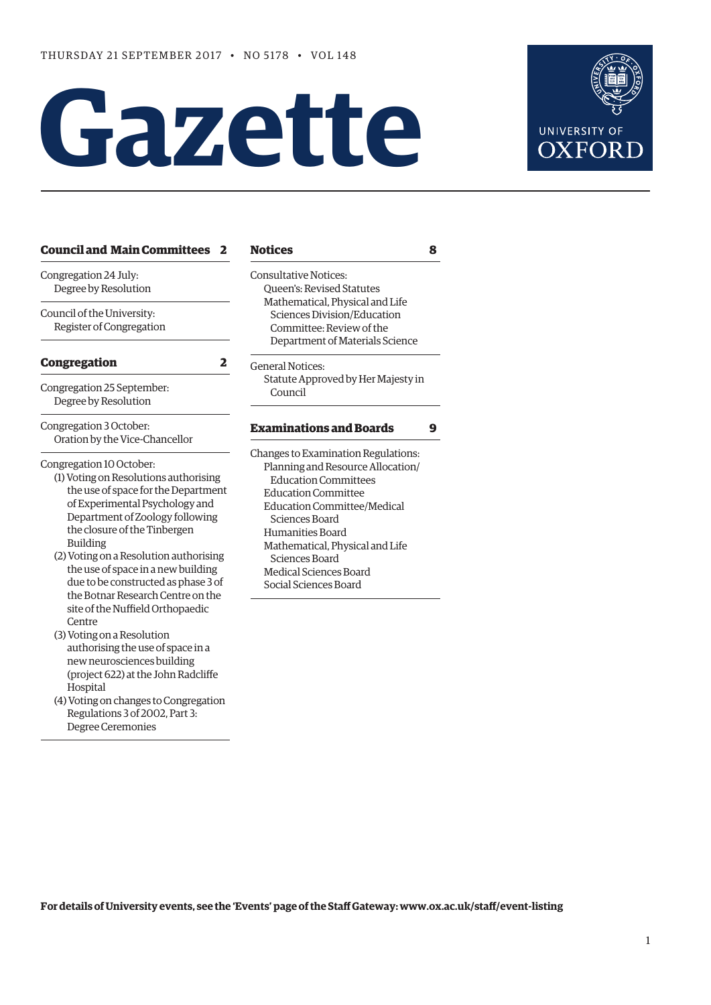# Gazette



| <b>Council and Main Committees</b><br>$\mathbf{z}$                                                                                                                                                                                                                                                                                                                                           | <b>Notices</b>                                                                                                                                                                                                                                                                                                                   | 8 |
|----------------------------------------------------------------------------------------------------------------------------------------------------------------------------------------------------------------------------------------------------------------------------------------------------------------------------------------------------------------------------------------------|----------------------------------------------------------------------------------------------------------------------------------------------------------------------------------------------------------------------------------------------------------------------------------------------------------------------------------|---|
| Congregation 24 July:<br>Degree by Resolution<br>Council of the University:<br>Register of Congregation                                                                                                                                                                                                                                                                                      | <b>Consultative Notices:</b><br><b>Oueen's: Revised Statutes</b><br>Mathematical, Physical and Life<br>Sciences Division/Education<br>Committee: Review of the<br>Department of Materials Science                                                                                                                                |   |
| <b>Congregation</b><br>2                                                                                                                                                                                                                                                                                                                                                                     | <b>General Notices:</b>                                                                                                                                                                                                                                                                                                          |   |
| Congregation 25 September:<br>Degree by Resolution                                                                                                                                                                                                                                                                                                                                           | Statute Approved by Her Majesty in<br>Council                                                                                                                                                                                                                                                                                    |   |
| Congregation 3 October:<br>Oration by the Vice-Chancellor                                                                                                                                                                                                                                                                                                                                    | <b>Examinations and Boards</b>                                                                                                                                                                                                                                                                                                   | 9 |
| Congregation 10 October:<br>(1) Voting on Resolutions authorising<br>the use of space for the Department<br>of Experimental Psychology and<br>Department of Zoology following<br>the closure of the Tinbergen<br><b>Building</b><br>(2) Voting on a Resolution authorising<br>the use of space in a new building<br>due to be constructed as phase 3 of<br>the Botnar Research Centre on the | Changes to Examination Regulations:<br>Planning and Resource Allocation/<br><b>Education Committees</b><br><b>Education Committee</b><br><b>Education Committee/Medical</b><br>Sciences Board<br>Humanities Board<br>Mathematical, Physical and Life<br>Sciences Board<br><b>Medical Sciences Board</b><br>Social Sciences Board |   |
| site of the Nuffield Orthopaedic<br>Centre<br>(3) Voting on a Resolution<br>authorising the use of space in a<br>new neurosciences building<br>(project 622) at the John Radcliffe<br>Hospital<br>(4) Voting on changes to Congregation<br>Regulations 3 of 2002, Part 3:                                                                                                                    |                                                                                                                                                                                                                                                                                                                                  |   |

Degree Ceremonies

| Queen's: Revised Statutes<br>Mathematical, Physical and Life<br>Sciences Division/Education |  |  |  |                                 |  |
|---------------------------------------------------------------------------------------------|--|--|--|---------------------------------|--|
|                                                                                             |  |  |  | Committee: Review of the        |  |
|                                                                                             |  |  |  | Department of Materials Science |  |
| General Notices:                                                                            |  |  |  |                                 |  |
| Statute Approved by Her Majesty in                                                          |  |  |  |                                 |  |
| Council                                                                                     |  |  |  |                                 |  |
| Examinations and Boards                                                                     |  |  |  |                                 |  |
| Changes to Examination Regulations:                                                         |  |  |  |                                 |  |
| Planning and Resource Allocation/                                                           |  |  |  |                                 |  |
| <b>Education Committees</b>                                                                 |  |  |  |                                 |  |
| <b>Education Committee</b>                                                                  |  |  |  |                                 |  |
| Education Committee/Medical                                                                 |  |  |  |                                 |  |

**For details of University events, see the 'Events' page of the Staf Gateway: [www.ox.ac.uk/staf/event-listing](http://www.ox.ac.uk/staff/event-listing)**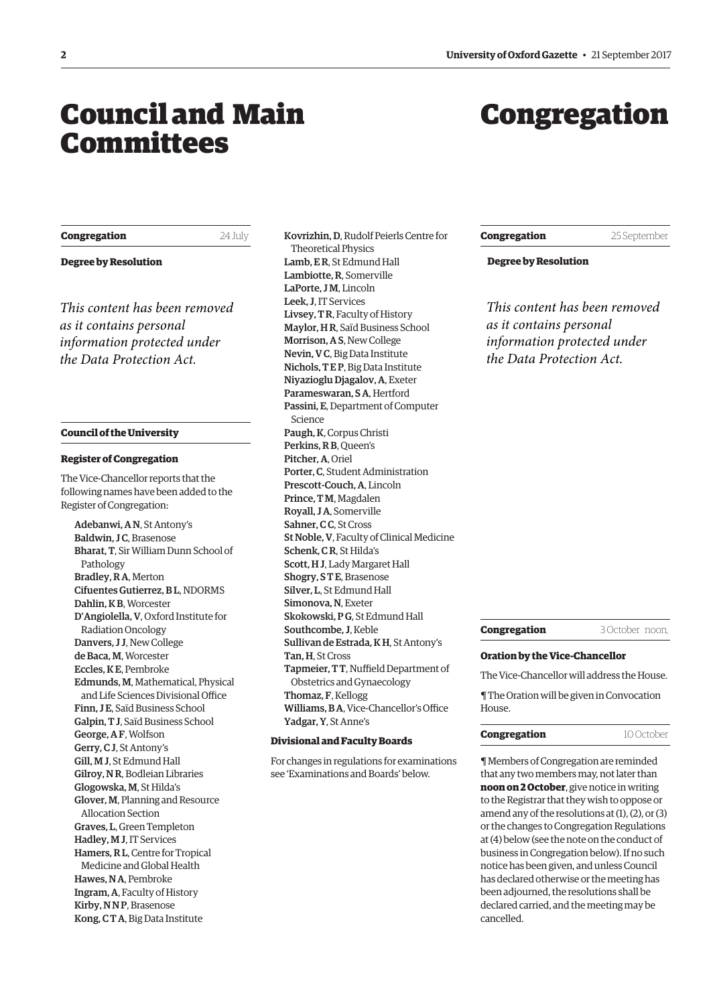# <span id="page-1-0"></span>Council and Main **Committees**

# Congregation

| Congregation |  |
|--------------|--|
|              |  |

**Congregation** 24 July

**Degree by Resolution**

*This content has been removed as it contains personal information protected under the Data Protection Act.*

#### **Council of the University**

#### **Register of Congregation**

The Vice-Chancellor reports that the following names have been added to the Register of Congregation:

Adebanwi, A N, St Antony's Baldwin, JC, Brasenose Bharat, T, Sir William Dunn School of Pathology Bradley, R A, Merton Cifuentes Gutierrez, B L, NDORMS Dahlin, K B, Worcester D'Angiolella, V, Oxford Institute for Radiation Oncology Danvers, J J, New College de Baca, M, Worcester Eccles, K E, Pembroke Edmunds, M, Mathematical, Physical and Life Sciences Divisional Office Finn, J E, Saïd Business School Galpin, T J, Saïd Business School George, A F, Wolfson Gerry, C J, St Antony's Gill, M J, St Edmund Hall Gilroy, N R, Bodleian Libraries Glogowska, M, St Hilda's Glover, M, Planning and Resource Allocation Section Graves, L, Green Templeton Hadley, M J, IT Services Hamers, R L, Centre for Tropical Medicine and Global Health Hawes, N A, Pembroke Ingram, A, Faculty of History Kirby, NNP, Brasenose Kong, C T A, Big Data Institute

Kovrizhin, D, Rudolf Peierls Centre for Theoretical Physics Lamb, E R, St Edmund Hall Lambiotte, R, Somerville LaPorte, J M, Lincoln Leek, J, IT Services Livsey, T R, Faculty of History Maylor, H R, Saïd Business School Morrison, A S, New College Nevin, V C, Big Data Institute Nichols, T E P, Big Data Institute Niyazioglu Djagalov, A, Exeter Parameswaran, S A, Hertford Passini, E, Department of Computer Science Paugh, K, Corpus Christi Perkins, R B, Queen's Pitcher, A, Oriel Porter, C, Student Administration Prescott-Couch, A, Lincoln Prince, T M, Magdalen Royall, J A, Somerville Sahner, C C, St Cross St Noble, V, Faculty of Clinical Medicine Schenk, C R, St Hilda's Scott, H J, Lady Margaret Hall Shogry, S T E, Brasenose Silver, L, St Edmund Hall Simonova, N, Exeter Skokowski, P G, St Edmund Hall Southcombe, J, Keble Sullivan de Estrada, K H, St Antony's Tan, H, St Cross Tapmeier, TT, Nuffield Department of Obstetrics and Gynaecology Thomaz, F, Kellogg Williams, BA, Vice-Chancellor's Office Yadgar, Y, St Anne's

# **Divisional and Faculty Boards**

For changes in regulations for examinations see '[Examinations and Boards'](#page-10-0) below.

**Congregation** 25 September

**Degree by Resolution**

*This content has been removed as it contains personal information protected under the Data Protection Act.*



#### **Oration by the Vice-Chancellor**

The Vice-Chancellor will address the House.

¶ The Oration will be given in Convocation House.

#### **Congregation** 10 October

¶ Members of Congregation are reminded that any two members may, not later than **noon on 2 October**, give notice in writing to the Registrar that they wish to oppose or amend any of the resolutions at (1), (2), or (3) or the changes to Congregation Regulations at (4) below (see the note on the conduct of business in Congregation below). If no such notice has been given, and unless Council has declared otherwise or the meeting has been adjourned, the resolutions shall be declared carried, and the meeting may be cancelled.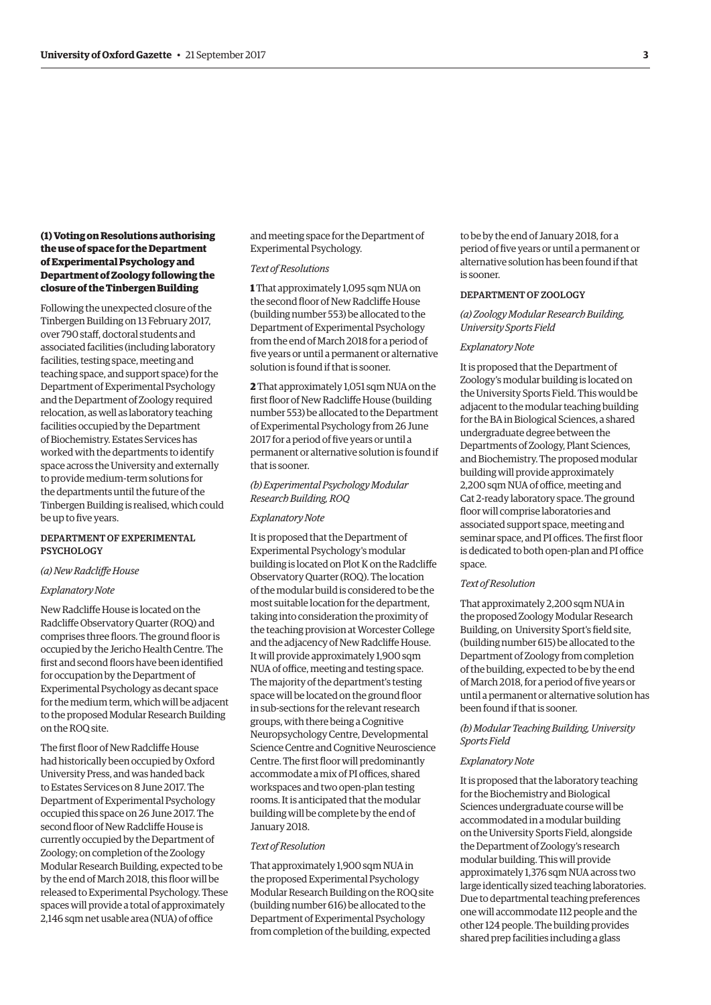# **(1) Voting on Resolutions authorising the use of space for the Department of Experimental Psychology and Department of Zoology following the closure of the Tinbergen Building**

Following the unexpected closure of the Tinbergen Building on 13 February 2017, over 790 staf, doctoral students and associated facilities (including laboratory facilities, testing space, meeting and teaching space, and support space) for the Department of Experimental Psychology and the Department of Zoology required relocation, as well as laboratory teaching facilities occupied by the Department of Biochemistry. Estates Services has worked with the departments to identify space across the University and externally to provide medium-term solutions for the departments until the future of the Tinbergen Building is realised, which could be up to five years.

### DEPARTMENT OF EXPERIMENTAL **PSYCHOLOGY**

#### *(a) New Radclife House*

#### *Explanatory Note*

New Radclife House is located on the Radclife Observatory Quarter (ROQ) and comprises three floors. The ground floor is occupied by the Jericho Health Centre. The first and second floors have been identified for occupation by the Department of Experimental Psychology as decant space for the medium term, which will be adjacent to the proposed Modular Research Building on the ROQ site.

The first floor of New Radcliffe House had historically been occupied by Oxford University Press, and was handed back to Estates Services on 8 June 2017. The Department of Experimental Psychology occupied this space on 26 June 2017. The second floor of New Radcliffe House is currently occupied by the Department of Zoology; on completion of the Zoology Modular Research Building, expected to be by the end of March 2018, this floor will be released to Experimental Psychology. These spaces will provide a total of approximately 2,146 sqm net usable area (NUA) of office

and meeting space for the Department of Experimental Psychology.

#### *Text of Resolutions*

**1** That approximately 1,095 sqm NUA on the second floor of New Radcliffe House (building number 553) be allocated to the Department of Experimental Psychology from the end of March 2018 for a period of five years or until a permanent or alternative solution is found if that is sooner.

**2** That approximately 1,051 sqm NUA on the frst foor of New Radclife House (building number 553) be allocated to the Department of Experimental Psychology from 26 June 2017 for a period of five years or until a permanent or alternative solution is found if that is sooner.

### *(b) Experimental Psycholog Modular Research Building, ROQ*

#### *Explanatory Note*

It is proposed that the Department of Experimental Psychology's modular building is located on Plot K on the Radclife Observatory Quarter (ROQ). The location of the modular build is considered to be the most suitable location for the department, taking into consideration the proximity of the teaching provision at Worcester College and the adjacency of New Radclife House. It will provide approximately 1,900 sqm NUA of office, meeting and testing space. The majority of the department's testing space will be located on the ground floor in sub-sections for the relevant research groups, with there being a Cognitive Neuropsychology Centre, Developmental Science Centre and Cognitive Neuroscience Centre. The first floor will predominantly accommodate a mix of PI offices, shared workspaces and two open-plan testing rooms. It is anticipated that the modular building will be complete by the end of January 2018.

#### *Text of Resolution*

That approximately 1,900 sqm NUA in the proposed Experimental Psychology Modular Research Building on the ROQ site (building number 616) be allocated to the Department of Experimental Psychology from completion of the building, expected

to be by the end of January 2018, for a period of fve years or until a permanent or alternative solution has been found if that is sooner.

#### DEPARTMENT OF ZOOLOGY

# *(a) Zoolog Modular Research Building, University Sports Field*

#### *Explanatory Note*

It is proposed that the Department of Zoology's modular building is located on the University Sports Field. This would be adjacent to the modular teaching building for the BA in Biological Sciences, a shared undergraduate degree between the Departments of Zoology, Plant Sciences, and Biochemistry. The proposed modular building will provide approximately 2,200 sqm NUA of office, meeting and Cat 2-ready laboratory space. The ground floor will comprise laboratories and associated support space, meeting and seminar space, and PI offices. The first floor is dedicated to both open-plan and PI office space.

# *Text of Resolution*

That approximately 2,200 sqm NUA in the proposed Zoology Modular Research Building, on University Sport's field site, (building number 615) be allocated to the Department of Zoology from completion of the building, expected to be by the end of March 2018, for a period of fve years or until a permanent or alternative solution has been found if that is sooner.

#### *(b) Modular Teaching Building, University Sports Field*

#### *Explanatory Note*

It is proposed that the laboratory teaching for the Biochemistry and Biological Sciences undergraduate course will be accommodated in a modular building on the University Sports Field, alongside the Department of Zoology's research modular building. This will provide approximately 1,376 sqm NUA across two large identically sized teaching laboratories. Due to departmental teaching preferences one will accommodate 112 people and the other 124 people. The building provides shared prep facilities including a glass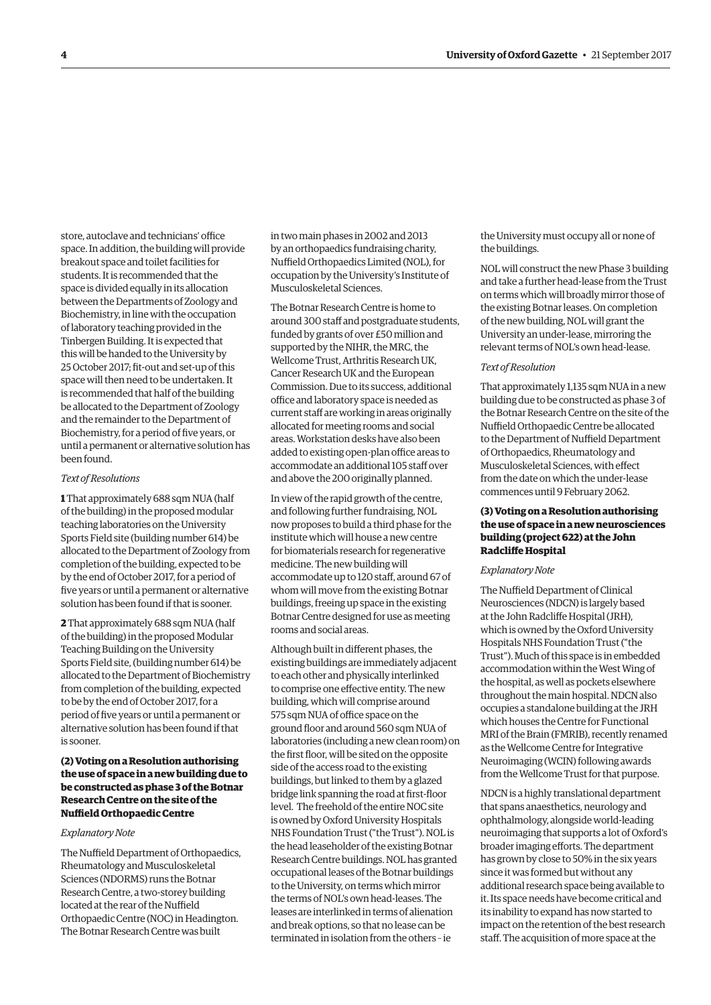store, autoclave and technicians' office space. In addition, the building will provide breakout space and toilet facilities for students. It is recommended that the space is divided equally in its allocation between the Departments of Zoology and Biochemistry, in line with the occupation of laboratory teaching provided in the Tinbergen Building. It is expected that this will be handed to the University by 25 October 2017; ft-out and set-up of this space will then need to be undertaken. It is recommended that half of the building be allocated to the Department of Zoology and the remainder to the Department of Biochemistry, for a period of fve years, or until a permanent or alternative solution has been found.

#### *Text of Resolutions*

**1** That approximately 688 sqm NUA (half of the building) in the proposed modular teaching laboratories on the University Sports Field site (building number 614) be allocated to the Department of Zoology from completion of the building, expected to be by the end of October 2017, for a period of five years or until a permanent or alternative solution has been found if that is sooner.

**2** That approximately 688 sqm NUA (half of the building) in the proposed Modular Teaching Building on the University Sports Field site, (building number 614) be allocated to the Department of Biochemistry from completion of the building, expected to be by the end of October 2017, for a period of fve years or until a permanent or alternative solution has been found if that is sooner.

**(2) Voting on a Resolution authorising the use of space in a new building due to be constructed as phase 3 of the Botnar Research Centre on the site of the Nuffield Orthopaedic Centre** 

#### *Explanatory Note*

The Nuffield Department of Orthopaedics, Rheumatology and Musculoskeletal Sciences (NDORMS) runs the Botnar Research Centre, a two-storey building located at the rear of the Nuffield Orthopaedic Centre (NOC) in Headington. The Botnar Research Centre was built

in two main phases in 2002 and 2013 by an orthopaedics fundraising charity, Nuffield Orthopaedics Limited (NOL), for occupation by the University's Institute of Musculoskeletal Sciences.

The Botnar Research Centre is home to around 300 staff and postgraduate students, funded by grants of over £50 million and supported by the NIHR, the MRC, the Wellcome Trust, Arthritis Research UK, Cancer Research UK and the European Commission. Due to its success, additional office and laboratory space is needed as current staff are working in areas originally allocated for meeting rooms and social areas. Workstation desks have also been added to existing open-plan office areas to accommodate an additional 105 staff over and above the 200 originally planned.

In view of the rapid growth of the centre, and following further fundraising, NOL now proposes to build a third phase for the institute which will house a new centre for biomaterials research for regenerative medicine. The new building will accommodate up to 120 staf, around 67 of whom will move from the existing Botnar buildings, freeing up space in the existing Botnar Centre designed for use as meeting rooms and social areas.

Although built in diferent phases, the existing buildings are immediately adjacent to each other and physically interlinked to comprise one efective entity. The new building, which will comprise around 575 sqm NUA of office space on the ground foor and around 560 sqm NUA of laboratories (including a new clean room) on the first floor, will be sited on the opposite side of the access road to the existing buildings, but linked to them by a glazed bridge link spanning the road at first-floor level. The freehold of the entire NOC site is owned by Oxford University Hospitals NHS Foundation Trust ("the Trust"). NOL is the head leaseholder of the existing Botnar Research Centre buildings. NOL has granted occupational leases of the Botnar buildings to the University, on terms which mirror the terms of NOL's own head-leases. The leases are interlinked in terms of alienation and break options, so that no lease can be terminated in isolation from the others – ie

the University must occupy all or none of the buildings.

NOL will construct the new Phase 3 building and take a further head-lease from the Trust on terms which will broadly mirror those of the existing Botnar leases. On completion of the new building, NOL will grant the University an under-lease, mirroring the relevant terms of NOL's own head-lease.

#### *Text of Resolution*

That approximately 1,135 sqm NUA in a new building due to be constructed as phase 3 of the Botnar Research Centre on the site of the Nuffield Orthopaedic Centre be allocated to the Department of Nuffield Department of Orthopaedics, Rheumatology and Musculoskeletal Sciences, with efect from the date on which the under-lease commences until 9 February 2062.

#### **(3) Voting on a Resolution authorising the use of space in a new neurosciences building (project 622) at the John Radclife Hospital**

#### *Explanatory Note*

The Nuffield Department of Clinical Neurosciences (NDCN) is largely based at the John Radclife Hospital (JRH), which is owned by the Oxford University Hospitals NHS Foundation Trust ("the Trust"). Much of this space is in embedded accommodation within the West Wing of the hospital, as well as pockets elsewhere throughout the main hospital. NDCN also occupies a standalone building at the JRH which houses the Centre for Functional MRI of the Brain (FMRIB), recently renamed as the Wellcome Centre for Integrative Neuroimaging (WCIN) following awards from the Wellcome Trust for that purpose.

NDCN is a highly translational department that spans anaesthetics, neurology and ophthalmology, alongside world-leading neuroimaging that supports a lot of Oxford's broader imaging efforts. The department has grown by close to 50% in the six years since it was formed but without any additional research space being available to it. Its space needs have become critical and its inability to expand has now started to impact on the retention of the best research staff. The acquisition of more space at the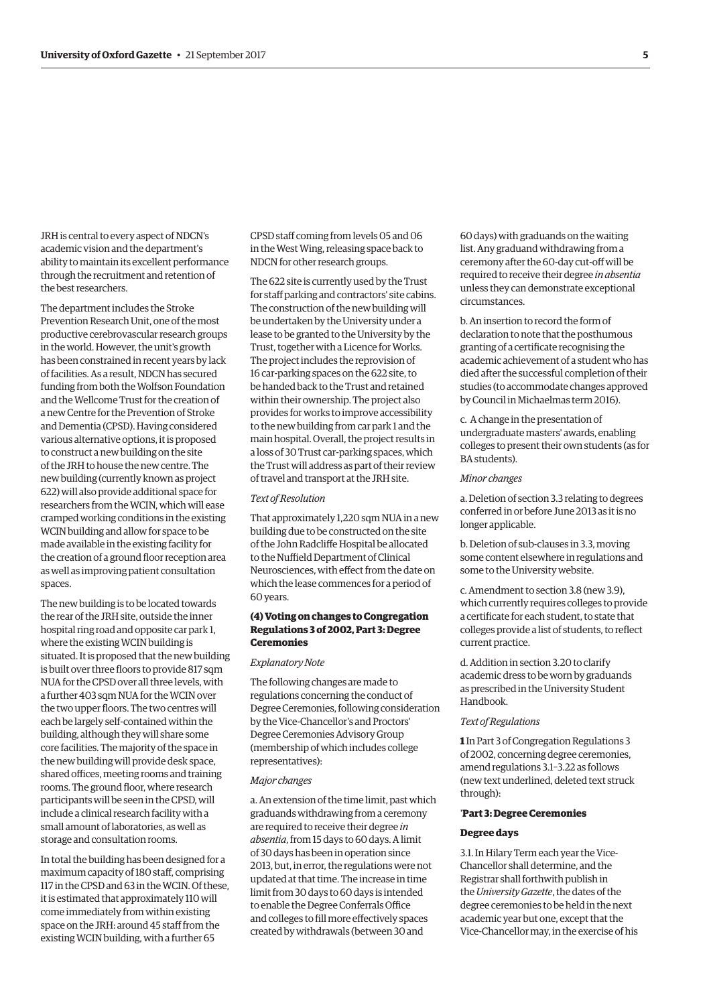JRH is central to every aspect of NDCN's academic vision and the department's ability to maintain its excellent performance through the recruitment and retention of the best researchers.

The department includes the Stroke Prevention Research Unit, one of the most productive cerebrovascular research groups in the world. However, the unit's growth has been constrained in recent years by lack of facilities. As a result, NDCN has secured funding from both the Wolfson Foundation and the Wellcome Trust for the creation of a new Centre for the Prevention of Stroke and Dementia (CPSD). Having considered various alternative options, it is proposed to construct a new building on the site of the JRH to house the new centre. The new building (currently known as project 622) will also provide additional space for researchers from the WCIN, which will ease cramped working conditions in the existing WCIN building and allow for space to be made available in the existing facility for the creation of a ground floor reception area as well as improving patient consultation spaces.

The new building is to be located towards the rear of the JRH site, outside the inner hospital ring road and opposite car park 1, where the existing WCIN building is situated. It is proposed that the new building is built over three floors to provide 817 sqm NUA for the CPSD over all three levels, with a further 403 sqm NUA for the WCIN over the two upper floors. The two centres will each be largely self-contained within the building, although they will share some core facilities. The majority of the space in the new building will provide desk space, shared offices, meeting rooms and training rooms. The ground floor, where research participants will be seen in the CPSD, will include a clinical research facility with a small amount of laboratories, as well as storage and consultation rooms.

In total the building has been designed for a maximum capacity of 180 staf, comprising 117 in the CPSD and 63 in the WCIN. Of these, it is estimated that approximately 110 will come immediately from within existing space on the JRH: around 45 staff from the existing WCIN building, with a further 65

CPSD staff coming from levels 05 and 06 in the West Wing, releasing space back to NDCN for other research groups.

The 622 site is currently used by the Trust for staff parking and contractors' site cabins. The construction of the new building will be undertaken by the University under a lease to be granted to the University by the Trust, together with a Licence for Works. The project includes the reprovision of 16 car-parking spaces on the 622 site, to be handed back to the Trust and retained within their ownership. The project also provides for works to improve accessibility to the new building from car park 1 and the main hospital. Overall, the project results in a loss of 30 Trust car-parking spaces, which the Trust will address as part of their review of travel and transport at the JRH site.

#### *Text of Resolution*

That approximately 1,220 sqm NUA in a new building due to be constructed on the site of the John Radclife Hospital be allocated to the Nuffield Department of Clinical Neurosciences, with efect from the date on which the lease commences for a period of 60 years.

#### **(4) Voting on changes to Congregation Regulations 3 of 2002, Part 3: Degree Ceremonies**

#### *Explanatory Note*

The following changes are made to regulations concerning the conduct of Degree Ceremonies, following consideration by the Vice-Chancellor's and Proctors' Degree Ceremonies Advisory Group (membership of which includes college representatives):

#### *Major changes*

a. An extension of the time limit, past which graduands withdrawing from a ceremony are required to receive their degree *in absentia*, from 15 days to 60 days. A limit of 30 days has been in operation since 2013, but, in error, the regulations were not updated at that time. The increase in time limit from 30 days to 60 days is intended to enable the Degree Conferrals Office and colleges to fill more effectively spaces created by withdrawals (between 30 and

60 days) with graduands on the waiting list. Any graduand withdrawing from a ceremony after the 60-day cut-of will be required to receive their degree *in absentia*  unless they can demonstrate exceptional circumstances.

b. An insertion to record the form of declaration to note that the posthumous granting of a certifcate recognising the academic achievement of a student who has died after the successful completion of their studies (to accommodate changes approved by Council in Michaelmas term 2016).

c. A change in the presentation of undergraduate masters' awards, enabling colleges to present their own students (as for BA students).

#### *Minor changes*

a. Deletion of section 3.3 relating to degrees conferred in or before June 2013 as it is no longer applicable.

b. Deletion of sub-clauses in 3.3, moving some content elsewhere in regulations and some to the University website.

c. Amendment to section 3.8 (new 3.9), which currently requires colleges to provide a certifcate for each student, to state that colleges provide a list of students, to refect current practice.

d. Addition in section 3.20 to clarify academic dress to be worn by graduands as prescribed in the University Student Handbook.

#### *Text of Regulations*

**1** In Part 3 of Congregation Regulations 3 of 2002, concerning degree ceremonies, amend regulations 3.1–3.22 as follows (new text underlined, deleted text struck through):

#### '**Part 3: Degree Ceremonies**

#### **Degree days**

3.1. In Hilary Term each year the Vice-Chancellor shall determine, and the Registrar shall forthwith publish in the *University Gazette*, the dates of the degree ceremonies to be held in the next academic year but one, except that the Vice-Chancellor may, in the exercise of his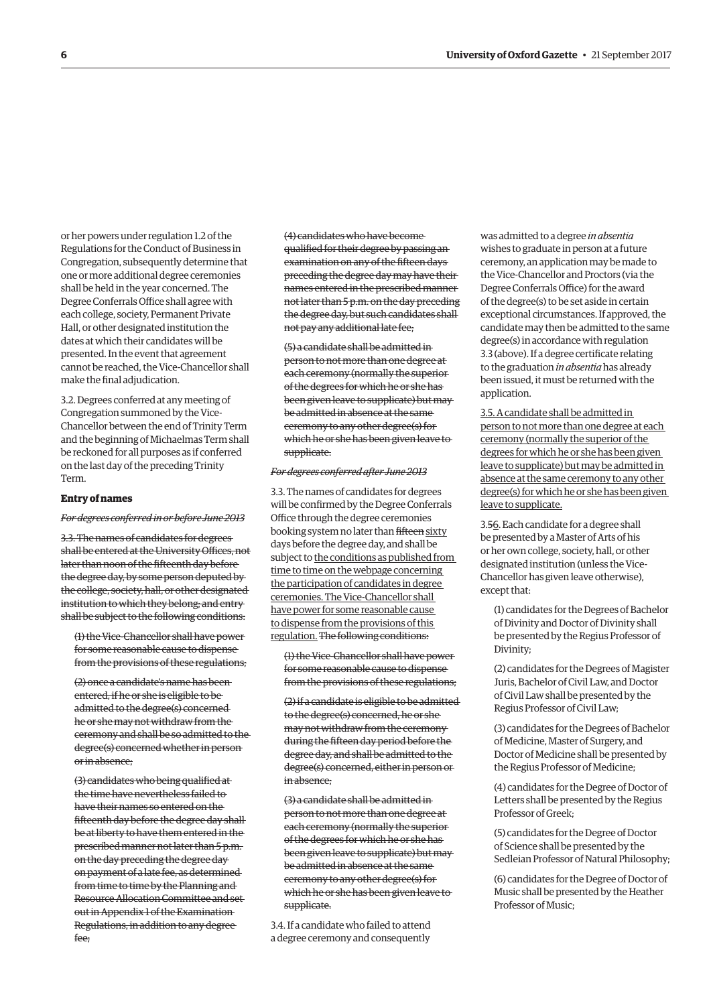or her powers under regulation 1.2 of the Regulations for the Conduct of Business in Congregation, subsequently determine that one or more additional degree ceremonies shall be held in the year concerned. The Degree Conferrals Office shall agree with each college, society, Permanent Private Hall, or other designated institution the dates at which their candidates will be presented. In the event that agreement cannot be reached, the Vice-Chancellor shall make the final adjudication.

3.2. Degrees conferred at any meeting of Congregation summoned by the Vice-Chancellor between the end of Trinity Term and the beginning of Michaelmas Term shall be reckoned for all purposes as if conferred on the last day of the preceding Trinity Term.

#### **Entry of names**

#### *For degrees conferred in or before June 2013*

3.3. The names of candidates for degrees shall be entered at the University Offices, not later than noon of the ffteenth day before the degree day, by some person deputed by the college, society, hall, or other designated institution to which they belong; and entry shall be subject to the following conditions:

(1) the Vice-Chancellor shall have power for some reasonable cause to dispense from the provisions of these regulations;

(2) once a candidate's name has been entered, if he or she is eligible to be admitted to the degree(s) concerned he or she may not withdraw from the ceremony and shall be so admitted to the degree(s) concerned whether in person or in absence;

(3) candidates who being qualifed at the time have nevertheless failed to have their names so entered on the ffteenth day before the degree day shall be at liberty to have them entered in the prescribed manner not later than 5 p.m. on the day preceding the degree day on payment of a late fee, as determined from time to time by the Planning and Resource Allocation Committee and set out in Appendix 1 of the Examination Regulations, in addition to any degree fee;

(4) candidates who have become qualifed for their degree by passing an examination on any of the fifteen days preceding the degree day may have their names entered in the prescribed manner not later than 5 p.m. on the day preceding the degree day, but such candidates shall not pay any additional late fee;

(5) a candidate shall be admitted in person to not more than one degree at each ceremony (normally the superior of the degrees for which he or she has been given leave to supplicate) but may be admitted in absence at the same ceremony to any other degree(s) for which he or she has been given leave to supplicate.

#### *For degrees conferred after June 2013*

3.3. The names of candidates for degrees will be confrmed by the Degree Conferrals Office through the degree ceremonies booking system no later than fifteen sixty days before the degree day, and shall be subject to the conditions as published from time to time on the webpage concerning the participation of candidates in degree ceremonies. The Vice-Chancellor shall have power for some reasonable cause to dispense from the provisions of this regulation. The following conditions:

(1) the Vice-Chancellor shall have power for some reasonable cause to dispense from the provisions of these regulations;

(2) if a candidate is eligible to be admitted to the degree(s) concerned, he or she may not withdraw from the ceremony during the ffteen day period before the degree day, and shall be admitted to the degree(s) concerned, either in person or in absence;

(3) a candidate shall be admitted in person to not more than one degree at each ceremony (normally the superior of the degrees for which he or she has been given leave to supplicate) but may be admitted in absence at the same ceremony to any other degree(s) for which he or she has been given leave to supplicate.

3.4. If a candidate who failed to attend a degree ceremony and consequently

was admitted to a degree *in absentia*  wishes to graduate in person at a future ceremony, an application may be made to the Vice-Chancellor and Proctors (via the Degree Conferrals Office) for the award of the degree(s) to be set aside in certain exceptional circumstances. If approved, the candidate may then be admitted to the same degree(s) in accordance with regulation 3.3 (above). If a degree certifcate relating to the graduation *in absentia* has already been issued, it must be returned with the application.

3.5. A candidate shall be admitted in person to not more than one degree at each ceremony (normally the superior of the degrees for which he or she has been given leave to supplicate) but may be admitted in absence at the same ceremony to any other degree(s) for which he or she has been given leave to supplicate.

3.56. Each candidate for a degree shall be presented by a Master of Arts of his or her own college, society, hall, or other designated institution (unless the Vice-Chancellor has given leave otherwise), except that:

(1) candidates for the Degrees of Bachelor of Divinity and Doctor of Divinity shall be presented by the Regius Professor of Divinity;

(2) candidates for the Degrees of Magister Juris, Bachelor of Civil Law, and Doctor of Civil Law shall be presented by the Regius Professor of Civil Law;

(3) candidates for the Degrees of Bachelor of Medicine, Master of Surgery, and Doctor of Medicine shall be presented by the Regius Professor of Medicine;

(4) candidates for the Degree of Doctor of Letters shall be presented by the Regius Professor of Greek;

(5) candidates for the Degree of Doctor of Science shall be presented by the Sedleian Professor of Natural Philosophy;

(6) candidates for the Degree of Doctor of Music shall be presented by the Heather Professor of Music;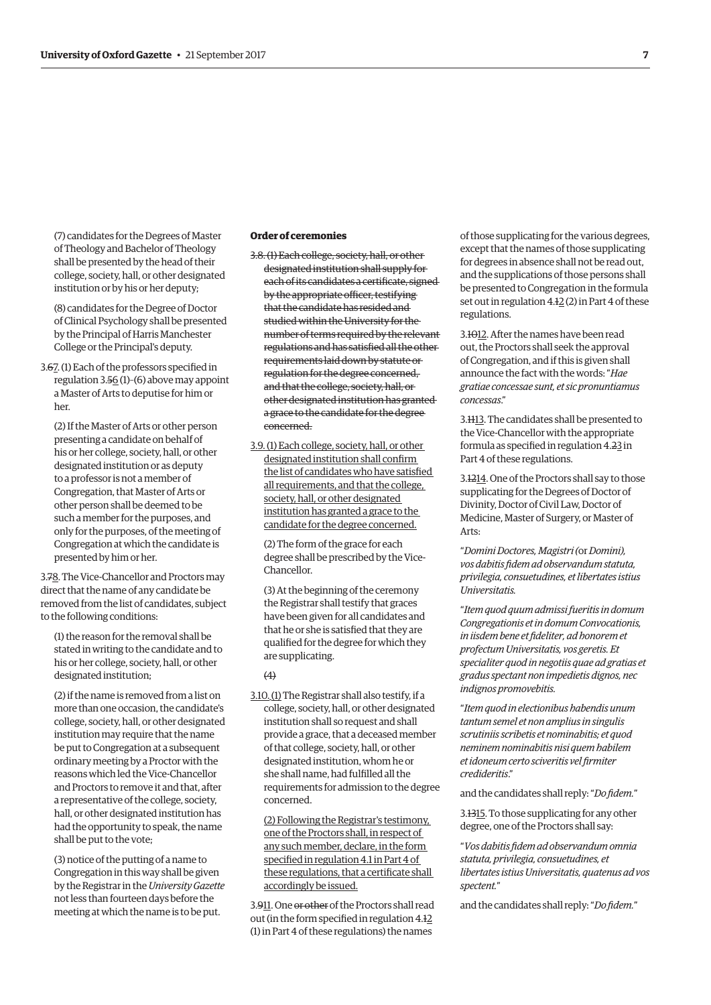(7) candidates for the Degrees of Master of Theology and Bachelor of Theology shall be presented by the head of their college, society, hall, or other designated institution or by his or her deputy;

(8) candidates for the Degree of Doctor of Clinical Psychology shall be presented by the Principal of Harris Manchester College or the Principal's deputy.

3.67. (1) Each of the professors specifed in regulation 3.56 (1)–(6) above may appoint a Master of Arts to deputise for him or her.

(2) If the Master of Arts or other person presenting a candidate on behalf of his or her college, society, hall, or other designated institution or as deputy to a professor is not a member of Congregation, that Master of Arts or other person shall be deemed to be such a member for the purposes, and only for the purposes, of the meeting of Congregation at which the candidate is presented by him or her.

3.78. The Vice-Chancellor and Proctors may direct that the name of any candidate be removed from the list of candidates, subject to the following conditions:

(1) the reason for the removal shall be stated in writing to the candidate and to his or her college, society, hall, or other designated institution;

(2) if the name is removed from a list on more than one occasion, the candidate's college, society, hall, or other designated institution may require that the name be put to Congregation at a subsequent ordinary meeting by a Proctor with the reasons which led the Vice-Chancellor and Proctors to remove it and that, after a representative of the college, society, hall, or other designated institution has had the opportunity to speak, the name shall be put to the vote;

(3) notice of the putting of a name to Congregation in this way shall be given by the Registrar in the *University Gazette*  not less than fourteen days before the meeting at which the name is to be put.

# **Order of ceremonies**

- 3.8.(1) Each college, society, hall, or other designated institution shall supply for each of its candidates a certificate, signed by the appropriate officer, testifying that the candidate has resided and studied within the University for the number of terms required by the relevant regulations and has satisfed all the other requirements laid down by statute or regulation for the degree concerned, and that the college, society, hall, or other designated institution has granted a grace to the candidate for the degree concerned.
- 3.9.(1) Each college, society, hall, or other designated institution shall confrm the list of candidates who have satisfed all requirements, and that the college, society, hall, or other designated institution has granted a grace to the candidate for the degree concerned.

(2) The form of the grace for each degree shall be prescribed by the Vice-Chancellor.

(3) At the beginning of the ceremony the Registrar shall testify that graces have been given for all candidates and that he or she is satisfed that they are qualifed for the degree for which they are supplicating.

#### $(4)$

3.10.(1) The Registrar shall also testify, if a college, society, hall, or other designated institution shall so request and shall provide a grace, that a deceased member of that college, society, hall, or other designated institution, whom he or she shall name, had fulflled all the requirements for admission to the degree concerned.

(2) Following the Registrar's testimony, one of the Proctors shall, in respect of any such member, declare, in the form specifed in regulation 4.1 in Part 4 of these regulations, that a certificate shall accordingly be issued.

3.911. One or other of the Proctors shall read out (in the form specifed in regulation 4.12 (1) in Part 4 of these regulations) the names

of those supplicating for the various degrees, except that the names of those supplicating for degrees in absence shall not be read out, and the supplications of those persons shall be presented to Congregation in the formula set out in regulation 4.12 (2) in Part 4 of these regulations.

3.1012. After the names have been read out, the Proctors shall seek the approval of Congregation, and if this is given shall announce the fact with the words: "*Hae gratiae concessae sunt, et sic pronuntiamus concessas*."

3.1113. The candidates shall be presented to the Vice-Chancellor with the appropriate formula as specifed in regulation 4.23 in Part 4 of these regulations.

3.1214. One of the Proctors shall say to those supplicating for the Degrees of Doctor of Divinity, Doctor of Civil Law, Doctor of Medicine, Master of Surgery, or Master of Arts:

"*Domini Doctores, Magistri (*or *Domini), vos dabitis fdem ad observandum statuta, privilegia, consuetudines, et libertates istius Universitatis.* 

"*Item quod quum admissi fueritis in domum Congregationis et in domum Convocationis, in iisdem bene et fdeliter, ad honorem et profectum Universitatis, vos geretis. Et specialiter quod in negotiis quae ad gratias et gradus spectant non impedietis dignos, nec indignos promovebitis.* 

"*Item quod in electionibus habendis unum tantum semel et non amplius in singulis scrutiniis scribetis et nominabitis; et quod neminem nominabitis nisi quem habilem et idoneum certo sciveritis vel frmiter credideritis*."

and the candidates shall reply: "*Do fdem.*"

3.1315. To those supplicating for any other degree, one of the Proctors shall say:

"*Vos dabitis fdem ad observandum omnia statuta, privilegia, consuetudines, et libertates istius Universitatis, quatenus ad vos spectent.*"

and the candidates shall reply: "*Do fdem.*"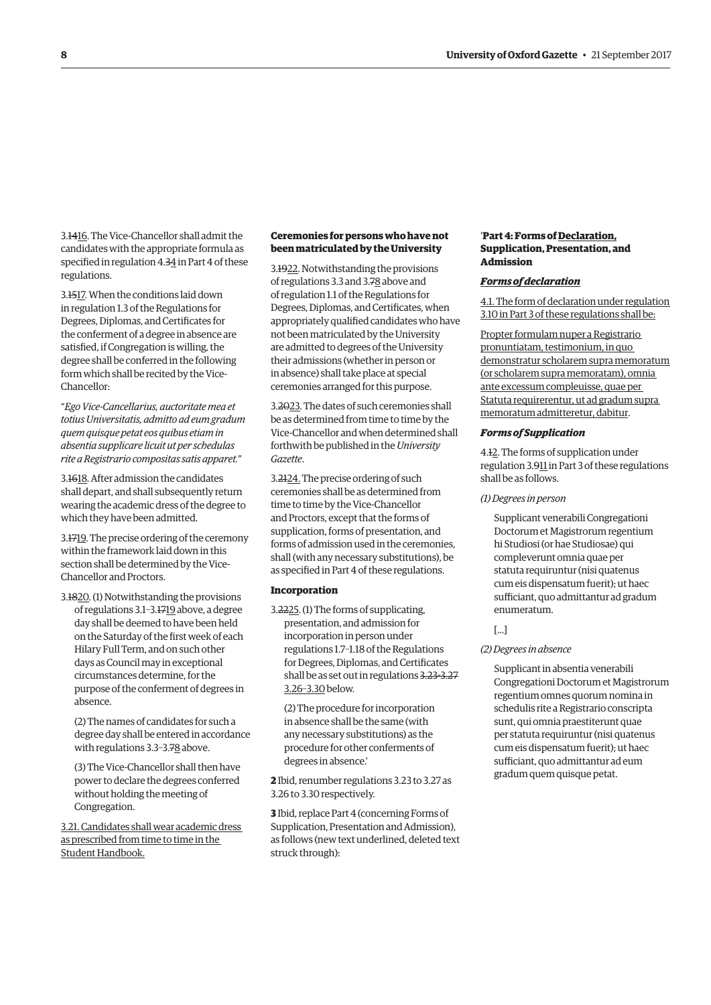3.1416. The Vice-Chancellor shall admit the candidates with the appropriate formula as specifed in regulation 4.34 in Part 4 of these regulations.

3.1517. When the conditions laid down in regulation 1.3 of the Regulations for Degrees, Diplomas, and Certifcates for the conferment of a degree in absence are satisfed, if Congregation is willing, the degree shall be conferred in the following form which shall be recited by the Vice-Chancellor:

"*Ego Vice-Cancellarius, auctoritate mea et totius Universitatis, admitto ad eum gradum quem quisque petat eos quibus etiam in absentia supplicare licuit ut per schedulas rite a Registrario compositas satis apparet.*"

3.1618. After admission the candidates shall depart, and shall subsequently return wearing the academic dress of the degree to which they have been admitted.

3.1719. The precise ordering of the ceremony within the framework laid down in this section shall be determined by the Vice-Chancellor and Proctors.

3.1820. (1) Notwithstanding the provisions of regulations 3.1–3.1719 above, a degree day shall be deemed to have been held on the Saturday of the frst week of each Hilary Full Term, and on such other days as Council may in exceptional circumstances determine, for the purpose of the conferment of degrees in absence.

(2) The names of candidates for such a degree day shall be entered in accordance with regulations 3.3-3.78 above.

(3) The Vice-Chancellor shall then have power to declare the degrees conferred without holding the meeting of Congregation.

3.21. Candidates shall wear academic dress as prescribed from time to time in the Student Handbook.

### **Ceremonies for persons who have not been matriculated by the University**

3.1922. Notwithstanding the provisions of regulations 3.3 and 3.78 above and of regulation 1.1 of the Regulations for Degrees, Diplomas, and Certifcates, when appropriately qualifed candidates who have not been matriculated by the University are admitted to degrees of the University their admissions (whether in person or in absence) shall take place at special ceremonies arranged for this purpose.

3.2023. The dates of such ceremonies shall be as determined from time to time by the Vice-Chancellor and when determined shall forthwith be published in the *University Gazette*.

3.2124. The precise ordering of such ceremonies shall be as determined from time to time by the Vice-Chancellor and Proctors, except that the forms of supplication, forms of presentation, and forms of admission used in the ceremonies, shall (with any necessary substitutions), be as specifed in Part 4 of these regulations.

#### **Incorporation**

3.2225. (1) The forms of supplicating, presentation, and admission for incorporation in person under regulations 1.7–1.18 of the Regulations for Degrees, Diplomas, and Certifcates shall be as set out in regulations 3.23-3.27 3.26–3.30 below.

(2) The procedure for incorporation in absence shall be the same (with any necessary substitutions) as the procedure for other conferments of degrees in absence.'

**2** Ibid, renumber regulations 3.23 to 3.27 as 3.26 to 3.30 respectively.

**3** Ibid, replace Part 4 (concerning Forms of Supplication, Presentation and Admission), as follows (new text underlined, deleted text struck through):

#### '**Part 4: Forms of Declaration, Supplication, Presentation, and Admission**

#### *Forms of declaration*

4.1. The form of declaration under regulation 3.10 in Part 3 of these regulations shall be:

Propter formulam nuper a Registrario pronuntiatam, testimonium, in quo demonstratur scholarem supra memoratum (or scholarem supra memoratam), omnia ante excessum compleuisse, quae per Statuta requirerentur, ut ad gradum supra memoratum admitteretur, dabitur.

#### *Forms of Supplication*

4.12. The forms of supplication under regulation 3.911 in Part 3 of these regulations shall be as follows.

#### *(1) Degrees in person*

Supplicant venerabili Congregationi Doctorum et Magistrorum regentium hi Studiosi (or hae Studiosae) qui compleverunt omnia quae per statuta requiruntur (nisi quatenus cum eis dispensatum fuerit); ut haec sufficiant, quo admittantur ad gradum enumeratum.

[...]

#### *(2) Degrees in absence*

Supplicant in absentia venerabili Congregationi Doctorum et Magistrorum regentium omnes quorum nomina in schedulis rite a Registrario conscripta sunt, qui omnia praestiterunt quae per statuta requiruntur (nisi quatenus cum eis dispensatum fuerit); ut haec sufficiant, quo admittantur ad eum gradum quem quisque petat.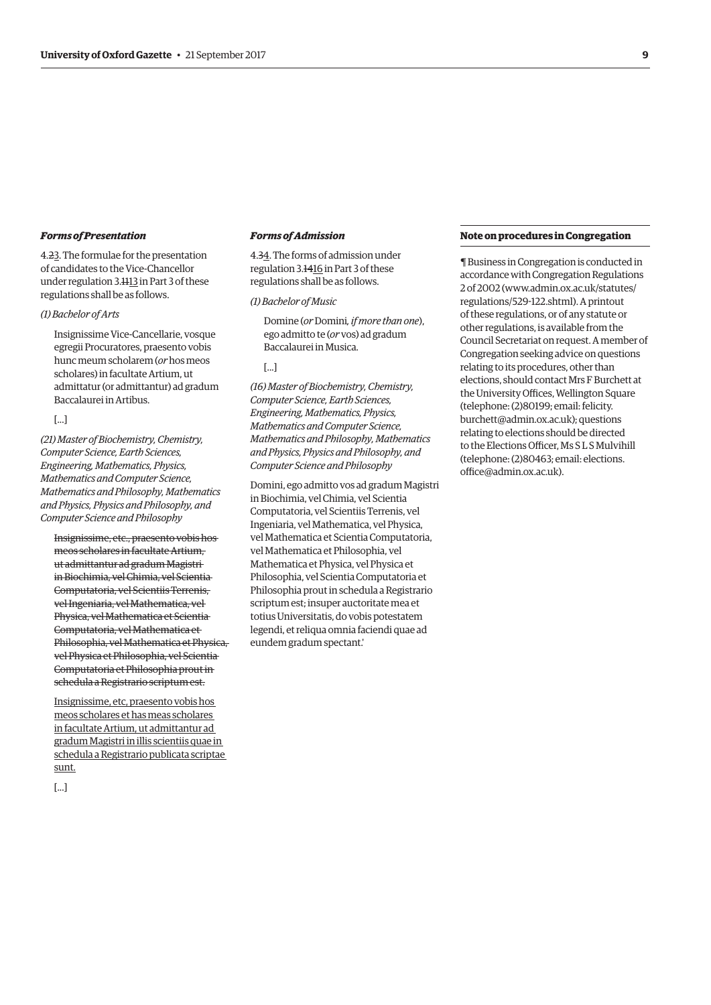#### *Forms of Presentation*

4.23. The formulae for the presentation of candidates to the Vice-Chancellor under regulation 3.1113 in Part 3 of these regulations shall be as follows.

# *(1) Bachelor of Arts*

Insignissime Vice-Cancellarie, vosque egregii Procuratores, praesento vobis hunc meum scholarem (*or* hos meos scholares) in facultate Artium, ut admittatur (or admittantur) ad gradum Baccalaurei in Artibus.

[...]

*(21) Master of Biochemistry, Chemistry, Computer Science, Earth Sciences, Engineering, Mathematics, Physics, Mathematics and Computer Science, Mathematics and Philosophy, Mathematics and Physics, Physics and Philosophy, and Computer Science and Philosophy* 

Insignissime, etc., praesento vobis hos meos scholares in facultate Artium, ut admittantur ad gradum Magistri in Biochimia, vel Chimia, vel Scientia Computatoria, vel Scientiis Terrenis, vel Ingeniaria, vel Mathematica, vel Physica, vel Mathematica et Scientia Computatoria, vel Mathematica et Philosophia, vel Mathematica et Physica, vel Physica et Philosophia, vel Scientia Computatoria et Philosophia prout in schedula a Registrario scriptum est.

Insignissime, etc, praesento vobis hos meos scholares et has meas scholares in facultate Artium, ut admittantur ad gradum Magistri in illis scientiis quae in schedula a Registrario publicata scriptae sunt.

[...]

# *Forms of Admission*

4.34. The forms of admission under regulation 3.1416 in Part 3 of these regulations shall be as follows.

#### *(1) Bachelor of Music*

Domine (*or* Domini*, if more than one*), ego admitto te (*or* vos) ad gradum Baccalaurei in Musica.

#### [...]

*(16) Master of Biochemistry, Chemistry, Computer Science, Earth Sciences, Engineering, Mathematics, Physics, Mathematics and Computer Science, Mathematics and Philosophy, Mathematics and Physics, Physics and Philosophy, and Computer Science and Philosophy* 

Domini, ego admitto vos ad gradum Magistri in Biochimia, vel Chimia, vel Scientia Computatoria, vel Scientiis Terrenis, vel Ingeniaria, vel Mathematica, vel Physica, vel Mathematica et Scientia Computatoria, vel Mathematica et Philosophia, vel Mathematica et Physica, vel Physica et Philosophia, vel Scientia Computatoria et Philosophia prout in schedula a Registrario scriptum est; insuper auctoritate mea et totius Universitatis, do vobis potestatem legendi, et reliqua omnia faciendi quae ad eundem gradum spectant.'

### **Note on procedures in Congregation**

¶ Business in Congregation is conducted in accordance with Congregation Regulations 2 of 2002 [\(www.admin.ox.ac.uk/statutes/](http://www.admin.ox.ac.uk/statutes/regulations/529-122.shtml)  [regulations/529-122.shtml\). A p](http://www.admin.ox.ac.uk/statutes/regulations/529-122.shtml)rintout of these regulations, or of any statute or other regulations, is available from the Council Secretariat on request. A member of Congregation seeking advice on questions relating to its procedures, other than elections, should contact Mrs F Burchett at the University Offices. Wellington Square (telephone: (2)80199; email: felicity. [burchett@admin.ox.ac.uk\); questions](mailto:felicity.burchett@admin.ox.ac.uk)  relating to elections should be directed to the Elections Officer, Ms SLS Mulvihill [\(telephone: \(2\)80463; email: elections.](mailto:elections.office@admin.ox.ac.uk)  office@admin.ox.ac.uk).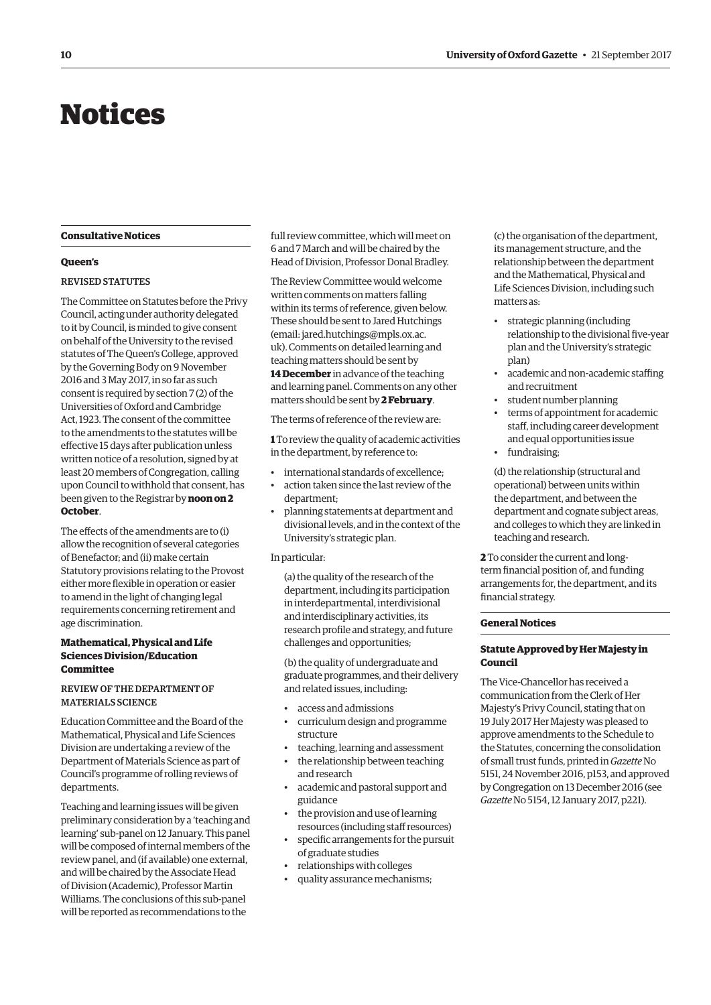# <span id="page-9-0"></span>Notices

#### **Consultative Notices**

#### **Queen's**

#### REVISED STATUTES

The Committee on Statutes before the Privy Council, acting under authority delegated to it by Council, is minded to give consent on behalf of the University to the revised statutes of The Queen's College, approved by the Governing Body on 9 November 2016 and 3 May 2017, in so far as such consent is required by section 7 (2) of the Universities of Oxford and Cambridge Act, 1923. The consent of the committee to the amendments to the statutes will be efective 15 days after publication unless written notice of a resolution, signed by at least 20 members of Congregation, calling upon Council to withhold that consent, has been given to the Registrar by **noon on 2 October**.

The efects of the amendments are to (i) allow the recognition of several categories of Benefactor; and (ii) make certain Statutory provisions relating to the Provost either more fexible in operation or easier to amend in the light of changing legal requirements concerning retirement and age discrimination.

#### **Mathematical, Physical and Life Sciences Division/Education Committee**

# REVIEW OF THE DEPARTMENT OF MATERIALS SCIENCE

Education Committee and the Board of the Mathematical, Physical and Life Sciences Division are undertaking a review of the Department of Materials Science as part of Council's programme of rolling reviews of departments.

Teaching and learning issues will be given preliminary consideration by a 'teaching and learning' sub-panel on 12 January. This panel will be composed of internal members of the review panel, and (if available) one external, and will be chaired by the Associate Head of Division (Academic), Professor Martin Williams. The conclusions of this sub-panel will be reported as recommendations to the

full review committee, which will meet on 6 and 7 March and will be chaired by the Head of Division, Professor Donal Bradley.

The Review Committee would welcome written comments on matters falling within its terms of reference, given below. These should be sent to Jared Hutchings (email: jared.hutchings@mpls.ox.ac. [uk\). Comments on detailed learning and](mailto:jared.hutchings@mpls.ox.ac.uk)  teaching matters should be sent by

**14 December** in advance of the teaching and learning panel. Comments on any other matters should be sent by **2 February**.

The terms of reference of the review are:

**1** To review the quality of academic activities in the department, by reference to:

- international standards of excellence;
- action taken since the last review of the department;
- planning statements at department and divisional levels, and in the context of the University's strategic plan.

#### In particular:

(a) the quality of the research of the department, including its participation in interdepartmental, interdivisional and interdisciplinary activities, its research profle and strategy, and future challenges and opportunities;

(b) the quality of undergraduate and graduate programmes, and their delivery and related issues, including:

- access and admissions
- curriculum design and programme structure
- teaching, learning and assessment
- the relationship between teaching and research
- academic and pastoral support and guidance
- the provision and use of learning resources (including staff resources)
- specifc arrangements for the pursuit of graduate studies
- relationships with colleges
- quality assurance mechanisms;

(c) the organisation of the department, its management structure, and the relationship between the department and the Mathematical, Physical and Life Sciences Division, including such matters as:

- strategic planning (including relationship to the divisional fve-year plan and the University's strategic plan)
- academic and non-academic staffing and recruitment
- student number planning
- terms of appointment for academic staf, including career development and equal opportunities issue
- fundraising;

(d) the relationship (structural and operational) between units within the department, and between the department and cognate subject areas, and colleges to which they are linked in teaching and research.

**2** To consider the current and longterm fnancial position of, and funding arrangements for, the department, and its fnancial strategy.

# **General Notices**

# **Statute Approved by Her Majesty in Council**

The Vice-Chancellor has received a communication from the Clerk of Her Majesty's Privy Council, stating that on 19 July 2017 Her Majesty was pleased to approve amendments to the Schedule to the Statutes, concerning the consolidation of small trust funds, printed in *Gazette* No 5151, 24 November 2016, p153, and approved by Congregation on 13 December 2016 (see *Gazette* No 5154, 12 January 2017, p221).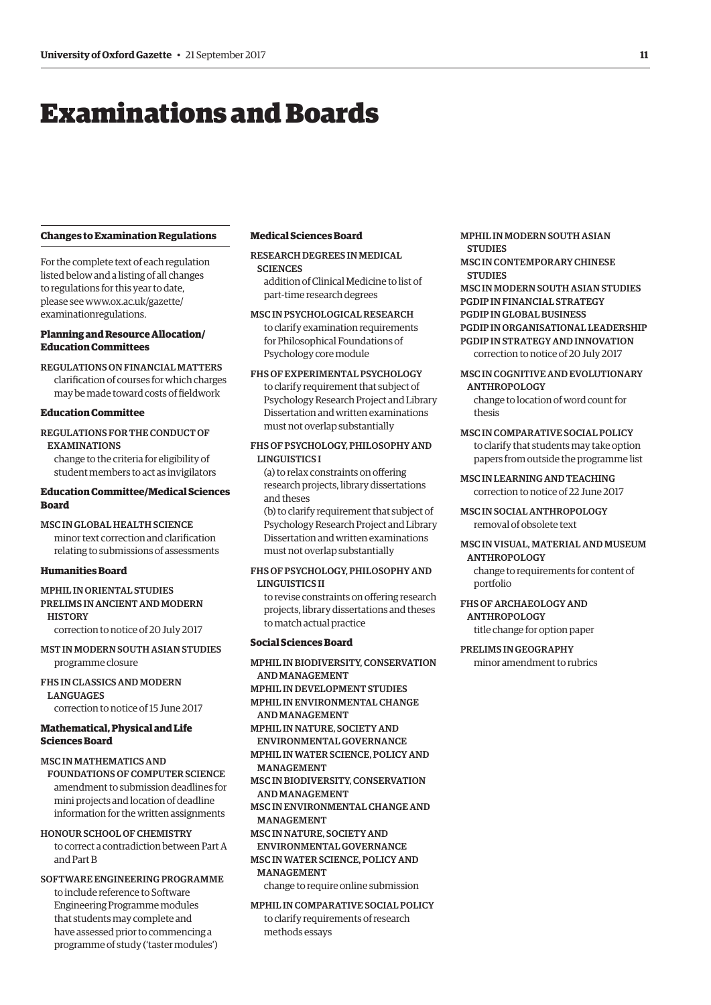# <span id="page-10-0"></span>Examinations and Boards

#### **Changes to Examination Regulations**

For the complete text of each regulation listed below and a listing of all changes to regulations for this year to date, [please see www.ox.ac.uk/gazette/](www.ox.ac.uk/gazette/examinationregulations)  examinationregulations.

# **Planning and Resource Allocation/ Education Committees**

REGULATIONS ON FINANCIAL MATTERS clarifcation of courses for which charges may be made toward costs of feldwork

# **Education Committee**

# REGULATIONS FOR THE CONDUCT OF EXAMINATIONS

change to the criteria for eligibility of student members to act as invigilators

# **Education Committee/Medical Sciences Board**

MSC IN GLOBAL HEALTH SCIENCE minor text correction and clarifcation relating to submissions of assessments

# **Humanities Board**

# MPHIL IN ORIENTAL STUDIES PRELIMS IN ANCIENT AND MODERN **HISTORY**

correction to notice of 20 July 2017

MST IN MODERN SOUTH ASIAN STUDIES programme closure

FHS IN CLASSICS AND MODERN LANGUAGES correction to notice of 15 June 2017

#### **Mathematical, Physical and Life Sciences Board**

# MSC IN MATHEMATICS AND

FOUNDATIONS OF COMPUTER SCIENCE amendment to submission deadlines for mini projects and location of deadline information for the written assignments

#### HONOUR SCHOOL OF CHEMISTRY

to correct a contradiction between Part A and Part B

# SOFTWARE ENGINEERING PROGRAMME to include reference to Software Engineering Programme modules that students may complete and have assessed prior to commencing a programme of study ('taster modules')

#### **Medical Sciences Board**

RESEARCH DEGREES IN MEDICAL **SCIENCES** addition of Clinical Medicine to list of

part-time research degrees

MSC IN PSYCHOLOGICAL RESEARCH to clarify examination requirements for Philosophical Foundations of Psychology core module

### FHS OF EXPERIMENTAL PSYCHOLOGY

to clarify requirement that subject of Psychology Research Project and Library Dissertation and written examinations must not overlap substantially

#### FHS OF PSYCHOLOGY, PHILOSOPHY AND LINGUISTICS I

(a) to relax constraints on ofering research projects, library dissertations and theses

(b) to clarify requirement that subject of Psychology Research Project and Library Dissertation and written examinations must not overlap substantially

#### FHS OF PSYCHOLOGY, PHILOSOPHY AND LINGUISTICS II

to revise constraints on ofering research projects, library dissertations and theses to match actual practice

#### **Social Sciences Board**

MPHIL IN BIODIVERSITY, CONSERVATION AND MANAGEMENT MPHIL IN DEVELOPMENT STUDIES MPHIL IN ENVIRONMENTAL CHANGE AND MANAGEMENT MPHIL IN NATURE, SOCIETY AND ENVIRONMENTAL GOVERNANCE MPHIL IN WATER SCIENCE, POLICY AND **MANACEMENT** MSC IN BIODIVERSITY, CONSERVATION AND MANAGEMENT MSC IN ENVIRONMENTAL CHANGE AND MANAGEMENT MSC IN NATURE, SOCIETY AND ENVIRONMENTAL GOVERNANCE MSC IN WATER SCIENCE, POLICY AND MANAGEMENT

change to require online submission

MPHIL IN COMPARATIVE SOCIAL POLICY to clarify requirements of research methods essays

MPHIL IN MODERN SOUTH ASIAN **STUDIES** 

MSC IN CONTEMPORARY CHINESE **STUDIES** 

MSC IN MODERN SOUTH ASIAN STUDIES PGDIP IN FINANCIAL STRATEGY PGDIP IN GLOBAL BUSINESS PGDIP IN ORGANISATIONAL LEADERSHIP PGDIP IN STRATEGY AND INNOVATION correction to notice of 20 July 2017

# MSC IN COGNITIVE AND EVOLUTIONARY ANTHROPOLOGY

change to location of word count for thesis

# MSC IN COMPARATIVE SOCIAL POLICY to clarify that students may take option

papers from outside the programme list MSC IN LEARNING AND TEACHING

correction to notice of 22 June 2017

MSC IN SOCIAL ANTHROPOLOGY removal of obsolete text

# MSC IN VISUAL, MATERIAL AND MUSEUM ANTHROPOLOGY

change to requirements for content of portfolio

# FHS OF ARCHAEOLOGY AND ANTHROPOLOGY

title change for option paper

#### PRELIMS IN GEOGRAPHY minor amendment to rubrics

**11**